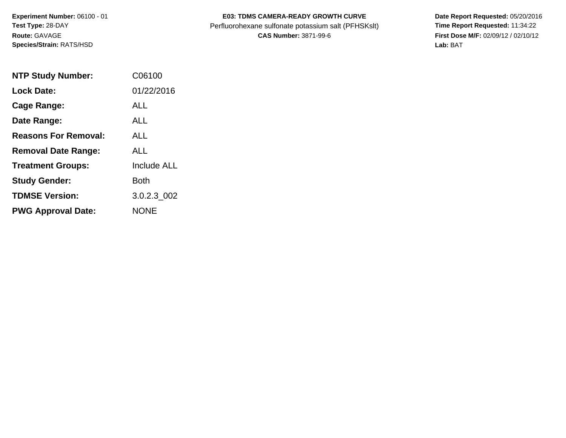**Experiment Number:** 06100 - 01 **Test Type:** 28-DAY **Route:** GAVAGE **Species/Strain:** RATS/HSD

## E03: TDMS CAMERA-READY GROWTH CURVE Date Report Requested: 05/20/2016 Perfluorohexane sulfonate potassium salt (PFHSKslt) **Time Report Requested:** 11:34:22

**CAS Number:** 3871-99-6 **First Dose M/F:** 02/09/12 / 02/10/12 **Lab:** BAT

| <b>NTP Study Number:</b>    | C06100             |
|-----------------------------|--------------------|
| <b>Lock Date:</b>           | 01/22/2016         |
| Cage Range:                 | ALL                |
| Date Range:                 | AI I               |
| <b>Reasons For Removal:</b> | ALL.               |
| <b>Removal Date Range:</b>  | ALL                |
| <b>Treatment Groups:</b>    | <b>Include ALL</b> |
| <b>Study Gender:</b>        | Both               |
| <b>TDMSE Version:</b>       | 3.0.2.3 002        |
| <b>PWG Approval Date:</b>   | <b>NONE</b>        |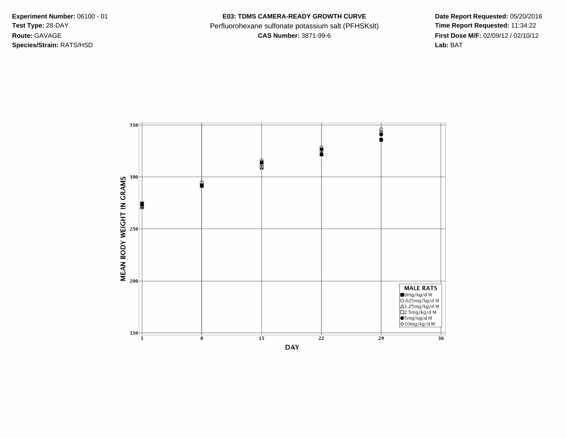**Species/Strain:** RATS/HSD **Lab:** BAT

Experiment Number: 06100 - 01 **E03: TDMS CAMERA-READY GROWTH CURVE** Date Report Requested: 05/20/2016 Test Type: 28-DAY **Perfluorohexane sulfonate potassium salt (PFHSKslt)** Time Report Requested: 11:34:22 **Route:** GAVAGE **CAS Number:** 3871-99-6 **First Dose M/F:** 02/09/12 / 02/10/12